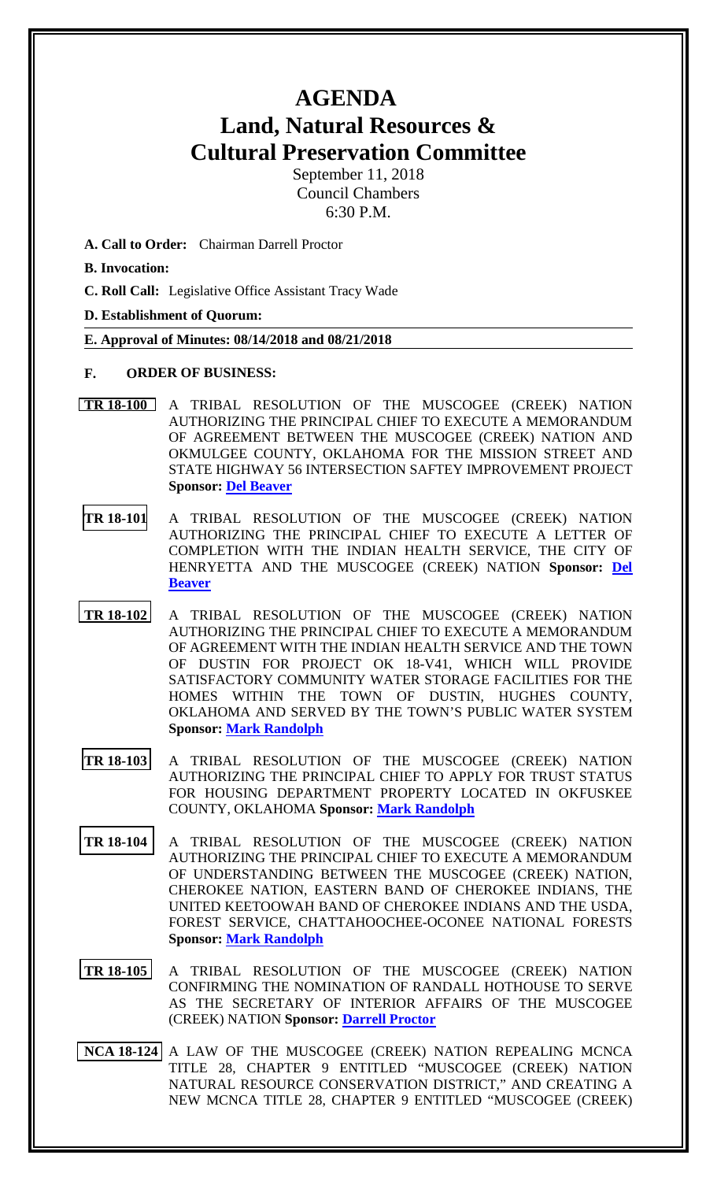## **AGENDA Land, Natural Resources & Cultural Preservation Committee**

September 11, 2018 Council Chambers 6:30 P.M.

- **A. Call to Order:** Chairman Darrell Proctor
- **B. Invocation:**
- **C. Roll Call:** Legislative Office Assistant Tracy Wade

**D. Establishment of Quorum:**

**E. Approval of Minutes: 08/14/2018 and 08/21/2018**

- **F. ORDER OF BUSINESS:**
- **[TR 18-100](bills/18-100.pdf)** A TRIBAL RESOLUTION OF THE MUSCOGEE (CREEK) NATION AUTHORIZING THE PRINCIPAL CHIEF TO EXECUTE A MEMORANDUM OF AGREEMENT BETWEEN THE MUSCOGEE (CREEK) NATION AND OKMULGEE COUNTY, OKLAHOMA FOR THE MISSION STREET AND STATE HIGHWAY 56 INTERSECTION SAFTEY IMPROVEMENT PROJECT **Sponsor: [Del Beaver](mailto:mailtodbeaver@mcn-nsn.gov)**
- **[TR 18-101](bills/18-101.pdf)** A TRIBAL RESOLUTION OF THE MUSCOGEE (CREEK) NATION AUTHORIZING THE PRINCIPAL CHIEF TO EXECUTE A LETTER OF COMPLETION WITH THE INDIAN HEALTH SERVICE, THE CITY OF HENRYETTA AND THE MUSCOGEE (CREEK) NATION **Sponsor: [Del](mailto:mailtodbeaver@mcn-nsn.gov)  [Beaver](mailto:mailtodbeaver@mcn-nsn.gov)**
- **TR [18-102](bills/18-102.pdf)** A TRIBAL RESOLUTION OF THE MUSCOGEE (CREEK) NATION AUTHORIZING THE PRINCIPAL CHIEF TO EXECUTE A MEMORANDUM OF AGREEMENT WITH THE INDIAN HEALTH SERVICE AND THE TOWN OF DUSTIN FOR PROJECT OK 18-V41, WHICH WILL PROVIDE SATISFACTORY COMMUNITY WATER STORAGE FACILITIES FOR THE HOMES WITHIN THE TOWN OF DUSTIN, HUGHES COUNTY, OKLAHOMA AND SERVED BY THE TOWN'S PUBLIC WATER SYSTEM **Sponsor: [Mark Randolph](mailto:mrmrandolph@mcn-nsn.gov)**
- **[TR 18-103](bills/18-103.pdf)** A TRIBAL RESOLUTION OF THE MUSCOGEE (CREEK) NATION AUTHORIZING THE PRINCIPAL CHIEF TO APPLY FOR TRUST STATUS FOR HOUSING DEPARTMENT PROPERTY LOCATED IN OKFUSKEE COUNTY, OKLAHOMA **Sponsor: [Mark Randolph](mailto:mrmrandolph@mcn-nsn.gov)**
- **[TR 18-104](bills/18-104.pdf)** A TRIBAL RESOLUTION OF THE MUSCOGEE (CREEK) NATION AUTHORIZING THE PRINCIPAL CHIEF TO EXECUTE A MEMORANDUM OF UNDERSTANDING BETWEEN THE MUSCOGEE (CREEK) NATION, CHEROKEE NATION, EASTERN BAND OF CHEROKEE INDIANS, THE UNITED KEETOOWAH BAND OF CHEROKEE INDIANS AND THE USDA, FOREST SERVICE, CHATTAHOOCHEE-OCONEE NATIONAL FORESTS **Sponsor: [Mark Randolph](mailto:mrmrandolph@mcn-nsn.gov)**
- **[TR 18-105](bills/18-105.pdf)** A TRIBAL RESOLUTION OF THE MUSCOGEE (CREEK) NATION CONFIRMING THE NOMINATION OF RANDALL HOTHOUSE TO SERVE AS THE SECRETARY OF INTERIOR AFFAIRS OF THE MUSCOGEE (CREEK) NATION **Sponsor: [Darrell Proctor](mailto:mrdproctorl@mcn-nsn.gov)**
- **[NCA 18-124](bills/NCA 18-124.pdf)** A LAW OF THE MUSCOGEE (CREEK) NATION REPEALING MCNCA TITLE 28, CHAPTER 9 ENTITLED "MUSCOGEE (CREEK) NATION NATURAL RESOURCE CONSERVATION DISTRICT," AND CREATING A NEW MCNCA TITLE 28, CHAPTER 9 ENTITLED "MUSCOGEE (CREEK)